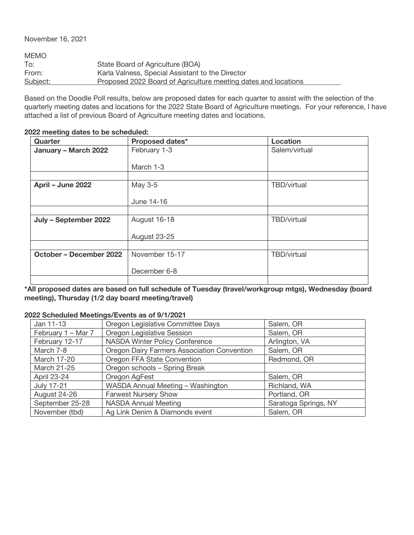November 16, 2021

| <b>MEMO</b> |                                                                |
|-------------|----------------------------------------------------------------|
| To:         | State Board of Agriculture (BOA)                               |
| From:       | Karla Valness, Special Assistant to the Director               |
| Subject:    | Proposed 2022 Board of Agriculture meeting dates and locations |
|             |                                                                |

Based on the Doodle Poll results, below are proposed dates for each quarter to assist with the selection of the quarterly meeting dates and locations for the 2022 State Board of Agriculture meetings. For your reference, I have attached a list of previous Board of Agriculture meeting dates and locations.

| Quarter                 | Proposed dates*     | <b>Location</b>    |
|-------------------------|---------------------|--------------------|
| January - March 2022    | February 1-3        | Salem/virtual      |
|                         |                     |                    |
|                         | March 1-3           |                    |
|                         |                     |                    |
| April - June 2022       | May 3-5             | TBD/virtual        |
|                         |                     |                    |
|                         | June 14-16          |                    |
|                         |                     |                    |
| July - September 2022   | August 16-18        | TBD/virtual        |
|                         |                     |                    |
|                         | <b>August 23-25</b> |                    |
|                         |                     |                    |
| October – December 2022 | November 15-17      | <b>TBD/virtual</b> |
|                         |                     |                    |
|                         | December 6-8        |                    |
|                         |                     |                    |

## **2022 meeting dates to be scheduled:**

**\*All proposed dates are based on full schedule of Tuesday (travel/workgroup mtgs), Wednesday (board meeting), Thursday (1/2 day board meeting/travel)**

## **2022 Scheduled Meetings/Events as of 9/1/2021**

| Jan 11-13          | Oregon Legislative Committee Days           | Salem, OR            |
|--------------------|---------------------------------------------|----------------------|
| February 1 - Mar 7 | Oregon Legislative Session                  | Salem, OR            |
| February 12-17     | NASDA Winter Policy Conference              | Arlington, VA        |
| March 7-8          | Oregon Dairy Farmers Association Convention | Salem, OR            |
| March 17-20        | Oregon FFA State Convention                 | Redmond, OR          |
| March 21-25        | Oregon schools - Spring Break               |                      |
| April 23-24        | Oregon AgFest                               | Salem, OR            |
| <b>July 17-21</b>  | WASDA Annual Meeting - Washington           | Richland, WA         |
| August 24-26       | <b>Farwest Nursery Show</b>                 | Portland, OR         |
| September 25-28    | <b>NASDA Annual Meeting</b>                 | Saratoga Springs, NY |
| November (tbd)     | Ag Link Denim & Diamonds event              | Salem, OR            |